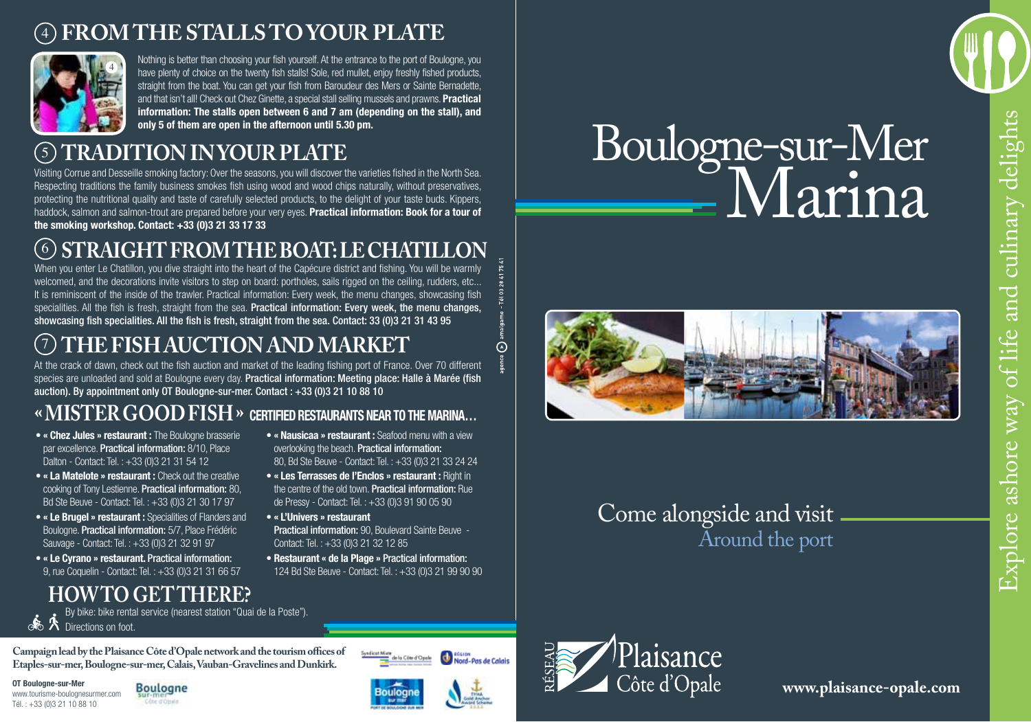### 4 **FROM THE STALLS TO YOUR PLATE**



Nothing is better than choosing your fish yourself. At the entrance to the port of Boulogne, you have plenty of choice on the twenty fish stalls! Sole, red mullet, enjoy freshly fished products, straight from the boat. You can get your fish from Baroudeur des Mers or Sainte Bernadette, and that isn't all! Check out Chez Ginette, a special stall selling mussels and prawns. **Practical information: The stalls open between 6 and 7 am (depending on the stall), and only 5 of them are open in the afternoon until 5.30 pm.**

## 5 **TRADITION IN YOUR PLATE**

Visiting Corrue and Desseille smoking factory: Over the seasons, you will discover the varieties fished in the North Sea. Respecting traditions the family business smokes fish using wood and wood chips naturally, without preservatives, protecting the nutritional quality and taste of carefully selected products, to the delight of your taste buds. Kippers, haddock, salmon and salmon-trout are prepared before your very eyes. **Practical information: Book for a tour of the smoking workshop. Contact: +33 (0)3 21 33 17 33**

## $(6)$ **STRAIGHT FROM THE BOAT: LE CHATILL**

When you enter Le Chatillon, you dive straight into the heart of the Capécure district and fishing. You will be warmly welcomed, and the decorations invite visitors to step on board: portholes, sails rigged on the ceiling, rudders, etc... It is reminiscent of the inside of the trawler. Practical information: Every week, the menu changes, showcasing fish specialities. All the fish is fresh, straight from the sea. Practical information: Every week, the menu changes, showcasing fish specialities. All the fish is fresh, straight from the sea. Contact: 33 (0)3 21 31 43 95

## 7 **THE FISH AUCTION AND MARKET**

At the crack of dawn, check out the fish auction and market of the leading fishing port of France. Over 70 different species are unloaded and sold at Boulogne every day. Practical information: Meeting place: Halle à Marée (fish auction). By appointment only OT Boulogne-sur-mer. Contact : +33 (0)3 21 10 88 10

## **« Mister Good Fish » certified restaurants near to the Marina…**

- **« Chez Jules » restaurant :** The Boulogne brasserie par excellence. Practical information: 8/10, Place Dalton - Contact: Tel. : +33 (0)3 21 31 54 12
- **« La Matelote » restaurant :** Check out the creative cooking of Tony Lestienne. Practical information: 80, Bd Ste Beuve - Contact: Tel. : +33 (0)3 21 30 17 97
- **« Le Brugel » restaurant :** Specialities of Flanders and Boulogne. Practical information: 5/7, Place Frédéric Sauvage - Contact: Tel. : +33 (0)3 21 32 91 97
- **« Le Cyrano » restaurant.** Practical information: 9, rue Coquelin - Contact: Tel. : +33 (0)3 21 31 66 57

## **How to getthere?**

By bike: bike rental service (nearest station "Quai de la Poste"). **A** Directions on foot.

**Campaign lead by the Plaisance Côte d'Opale network and the tourism offices of Etaples-sur-mer, Boulogne-sur-mer, Calais, Vauban-Gravelines and Dunkirk.**

**OT Boulogne-sur-Mer** www.tourisme-boulognesurmer.com Tél. : +33 (0)3 21 10 88 10

**Boulogne** 

## Côte d'Opain

**• « Nausicaa » restaurant :** Seafood menu with a view overlooking the beach. Practical information: 80, Bd Ste Beuve - Contact: Tel. : +33 (0)3 21 33 24 24  $\odot$ 

**Région**<br>Nord-Pas de Calais

- **« Les Terrasses de l'Enclos » restaurant :** Right in the centre of the old town. **Practical information:** Rue de Pressy - Contact: Tel. : +33 (0)3 91 90 05 90
- **« L'Univers » restaurant** Practical information: 90, Boulevard Sainte Beuve - Contact: Tel. : +33 (0)3 21 32 12 85
- **Restaurant « de la Plage »** Practical information: 124 Bd Ste Beuve - Contact: Tel. : +33 (0)3 21 99 90 90

Syndical Mist

le la Côte d'Opele

Boulogne-sur-Mer Marina



## Come alongside and visit Around the port



**www.plaisance-opale.com**